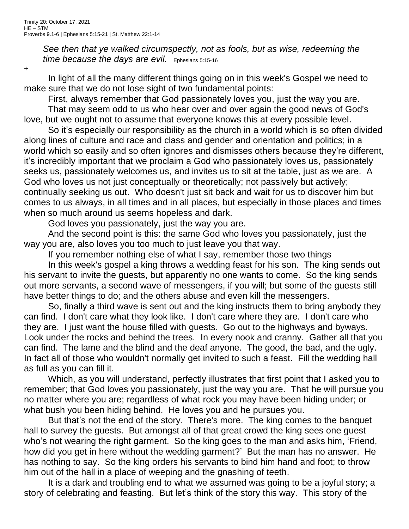*See then that ye walked circumspectly, not as fools, but as wise, redeeming the time because the days are evil.* Ephesians 5:15-16

+

In light of all the many different things going on in this week's Gospel we need to make sure that we do not lose sight of two fundamental points:

First, always remember that God passionately loves you, just the way you are.

That may seem odd to us who hear over and over again the good news of God's love, but we ought not to assume that everyone knows this at every possible level.

So it's especially our responsibility as the church in a world which is so often divided along lines of culture and race and class and gender and orientation and politics; in a world which so easily and so often ignores and dismisses others because they're different, it's incredibly important that we proclaim a God who passionately loves us, passionately seeks us, passionately welcomes us, and invites us to sit at the table, just as we are. A God who loves us not just conceptually or theoretically; not passively but actively; continually seeking us out. Who doesn't just sit back and wait for us to discover him but comes to us always, in all times and in all places, but especially in those places and times when so much around us seems hopeless and dark.

God loves you passionately, just the way you are.

And the second point is this: the same God who loves you passionately, just the way you are, also loves you too much to just leave you that way.

If you remember nothing else of what I say, remember those two things

In this week's gospel a king throws a wedding feast for his son. The king sends out his servant to invite the guests, but apparently no one wants to come. So the king sends out more servants, a second wave of messengers, if you will; but some of the guests still have better things to do; and the others abuse and even kill the messengers.

So, finally a third wave is sent out and the king instructs them to bring anybody they can find. I don't care what they look like. I don't care where they are. I don't care who they are. I just want the house filled with guests. Go out to the highways and byways. Look under the rocks and behind the trees. In every nook and cranny. Gather all that you can find. The lame and the blind and the deaf anyone. The good, the bad, and the ugly. In fact all of those who wouldn't normally get invited to such a feast. Fill the wedding hall as full as you can fill it.

Which, as you will understand, perfectly illustrates that first point that I asked you to remember; that God loves you passionately, just the way you are. That he will pursue you no matter where you are; regardless of what rock you may have been hiding under; or what bush you been hiding behind. He loves you and he pursues you.

But that's not the end of the story. There's more. The king comes to the banquet hall to survey the guests. But amongst all of that great crowd the king sees one guest who's not wearing the right garment. So the king goes to the man and asks him, 'Friend, how did you get in here without the wedding garment?' But the man has no answer. He has nothing to say. So the king orders his servants to bind him hand and foot; to throw him out of the hall in a place of weeping and the gnashing of teeth.

It is a dark and troubling end to what we assumed was going to be a joyful story; a story of celebrating and feasting. But let's think of the story this way. This story of the